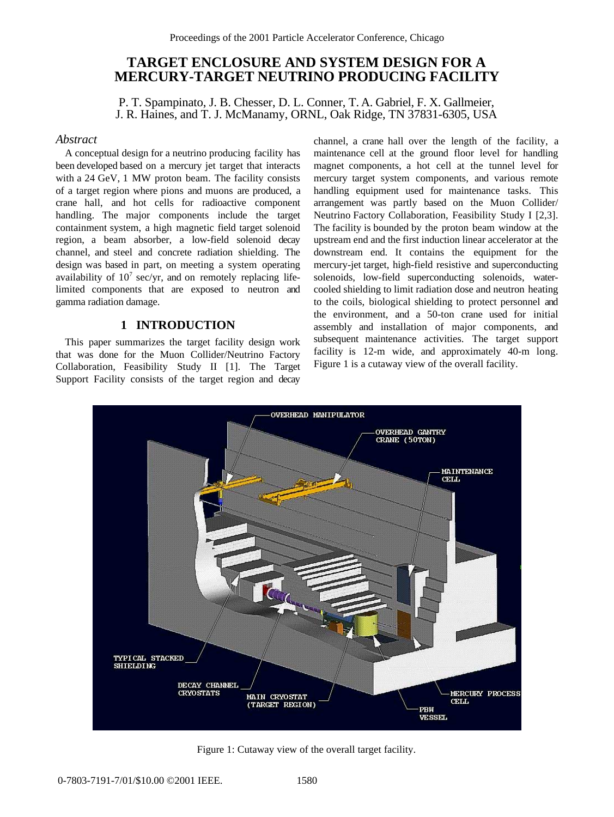# **TARGET ENCLOSURE AND SYSTEM DESIGN FOR A MERCURY-TARGET NEUTRINO PRODUCING FACILITY**

P. T. Spampinato, J. B. Chesser, D. L. Conner, T. A. Gabriel, F. X. Gallmeier, J. R. Haines, and T. J. McManamy, ORNL, Oak Ridge, TN 37831-6305, USA

#### *Abstract*

A conceptual design for a neutrino producing facility has been developed based on a mercury jet target that interacts with a 24 GeV, 1 MW proton beam. The facility consists of a target region where pions and muons are produced, a crane hall, and hot cells for radioactive component handling. The major components include the target containment system, a high magnetic field target solenoid region, a beam absorber, a low-field solenoid decay channel, and steel and concrete radiation shielding. The design was based in part, on meeting a system operating availability of  $10<sup>7</sup>$  sec/yr, and on remotely replacing lifelimited components that are exposed to neutron and gamma radiation damage.

## **1 INTRODUCTION**

This paper summarizes the target facility design work that was done for the Muon Collider/Neutrino Factory Collaboration, Feasibility Study II [1]. The Target Support Facility consists of the target region and decay

channel, a crane hall over the length of the facility, a maintenance cell at the ground floor level for handling magnet components, a hot cell at the tunnel level for mercury target system components, and various remote handling equipment used for maintenance tasks. This arrangement was partly based on the Muon Collider/ Neutrino Factory Collaboration, Feasibility Study I [2,3]. The facility is bounded by the proton beam window at the upstream end and the first induction linear accelerator at the downstream end. It contains the equipment for the mercury-jet target, high-field resistive and superconducting solenoids, low-field superconducting solenoids, watercooled shielding to limit radiation dose and neutron heating to the coils, biological shielding to protect personnel and the environment, and a 50-ton crane used for initial assembly and installation of major components, and subsequent maintenance activities. The target support facility is 12-m wide, and approximately 40-m long. Figure 1 is a cutaway view of the overall facility.



Figure 1: Cutaway view of the overall target facility.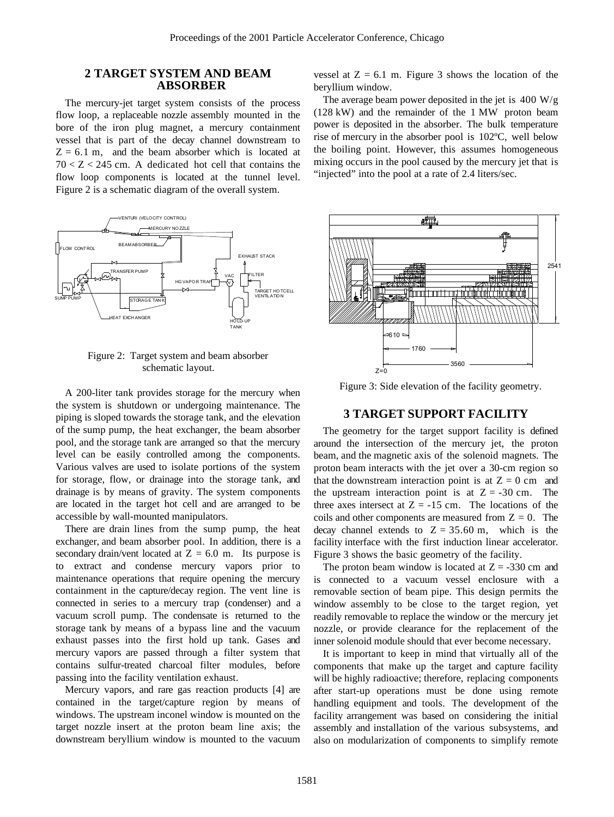#### **2 TARGET SYSTEM AND BEAM ABSORBER**

The mercury-jet target system consists of the process flow loop, a replaceable nozzle assembly mounted in the bore of the iron plug magnet, a mercury containment vessel that is part of the decay channel downstream to  $Z = 6.1$  m, and the beam absorber which is located at  $70 < Z < 245$  cm. A dedicated hot cell that contains the flow loop components is located at the tunnel level. Figure 2 is a schematic diagram of the overall system.



Figure 2: Target system and beam absorber schematic layout.

A 200-liter tank provides storage for the mercury when the system is shutdown or undergoing maintenance. The piping is sloped towards the storage tank, and the elevation of the sump pump, the heat exchanger, the beam absorber pool, and the storage tank are arranged so that the mercury level can be easily controlled among the components. Various valves are used to isolate portions of the system for storage, flow, or drainage into the storage tank, and drainage is by means of gravity. The system components are located in the target hot cell and are arranged to be accessible by wall-mounted manipulators.

There are drain lines from the sump pump, the heat exchanger, and beam absorber pool. In addition, there is a secondary drain/vent located at  $Z = 6.0$  m. Its purpose is to extract and condense mercury vapors prior to maintenance operations that require opening the mercury containment in the capture/decay region. The vent line is connected in series to a mercury trap (condenser) and a vacuum scroll pump. The condensate is returned to the storage tank by means of a bypass line and the vacuum exhaust passes into the first hold up tank. Gases and mercury vapors are passed through a filter system that contains sulfur-treated charcoal filter modules, before passing into the facility ventilation exhaust.

Mercury vapors, and rare gas reaction products [4] are contained in the target/capture region by means of windows. The upstream inconel window is mounted on the target nozzle insert at the proton beam line axis; the downstream beryllium window is mounted to the vacuum

vessel at  $Z = 6.1$  m. Figure 3 shows the location of the beryllium window.

The average beam power deposited in the jet is  $400 W/g$ (128 kW) and the remainder of the 1 MW proton beam power is deposited in the absorber. The bulk temperature rise of mercury in the absorber pool is 102ºC, well below the boiling point. However, this assumes homogeneous mixing occurs in the pool caused by the mercury jet that is "injected" into the pool at a rate of 2.4 liters/sec.



Figure 3: Side elevation of the facility geometry.

#### **3 TARGET SUPPORT FACILITY**

The geometry for the target support facility is defined around the intersection of the mercury jet, the proton beam, and the magnetic axis of the solenoid magnets. The proton beam interacts with the jet over a 30-cm region so that the downstream interaction point is at  $Z = 0$  cm and the upstream interaction point is at  $Z = -30$  cm. The three axes intersect at  $Z = -15$  cm. The locations of the coils and other components are measured from  $Z = 0$ . The decay channel extends to  $Z = 35.60$  m, which is the facility interface with the first induction linear accelerator. Figure 3 shows the basic geometry of the facility.

The proton beam window is located at  $Z = -330$  cm and is connected to a vacuum vessel enclosure with a removable section of beam pipe. This design permits the window assembly to be close to the target region, yet readily removable to replace the window or the mercury jet nozzle, or provide clearance for the replacement of the inner solenoid module should that ever become necessary.

It is important to keep in mind that virtually all of the components that make up the target and capture facility will be highly radioactive; therefore, replacing components after start-up operations must be done using remote handling equipment and tools. The development of the facility arrangement was based on considering the initial assembly and installation of the various subsystems, and also on modularization of components to simplify remote